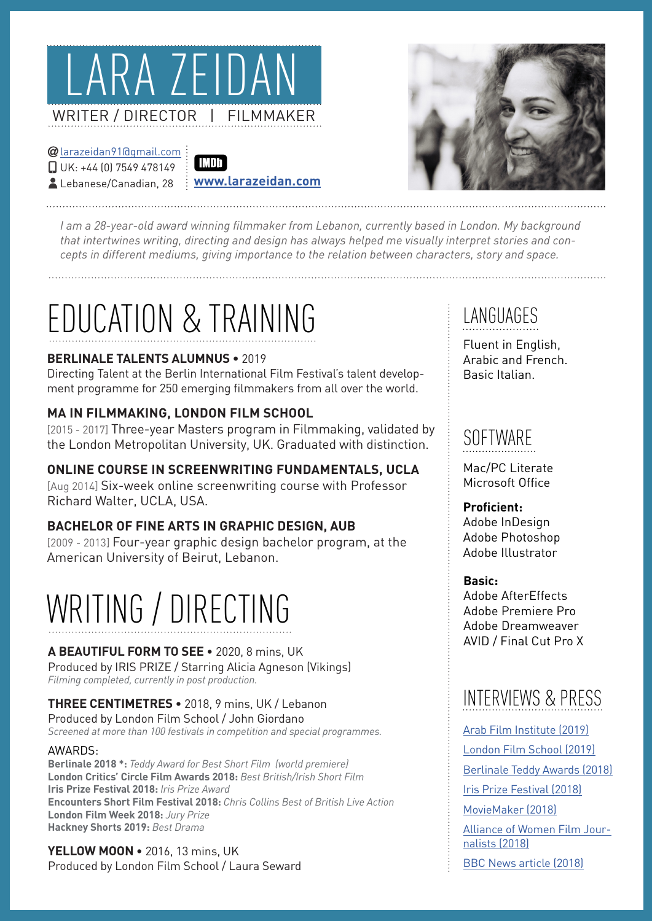

#### $Q$ larazeidan91 $Q$ armail.com  $\Box$  UK: +44 (0) 7549 478149 Lebanese/Canadian, 28

#### **IMDb [com.larazeidan.www](http://www.larazeidan.com)**



*l* am a 28-year-old award winning filmmaker from Lebanon, currently based in London. My background that intertwines writing, directing and design has always helped me visually interpret stories and con-<br>cepts in different mediums, giving importance to the relation between characters, story and space.

## EDUCATION & TRAINING

#### **BERLINALE TALENTS ALUMNUS • 2019**

ment programme for 250 emerging filmmakers from all over the world. Directing Talent at the Berlin International Film Festival's talent develop-

#### **MA IN FILMMAKING, LONDON FILM SCHOOL**

[2015 - 2017] Three-year Masters program in Filmmaking, validated by the London Metropolitan University, UK. Graduated with distinction.

#### **ONLINE COURSE IN SCREENWRITING FUNDAMENTALS, UCLA**

[Aug 2014] Six-week online screenwriting course with Professor Richard Walter, UCLA, USA.

#### **BACHELOR OF FINE ARTS IN GRAPHIC DESIGN, AUB**

[2009 - 2013] Four-year graphic design bachelor program, at the American University of Beirut, Lebanon.

# WRITING / DIRECTING

### A BEAUTIFUL FORM TO SEE . 2020, 8 mins, UK

Produced by IRIS PRIZE / Starring Alicia Agneson (Vikings) Filming completed, currently in post production.

#### THREE CENTIMETRES • 2018, 9 mins, UK / Lebanon Produced by London Film School / John Giordano Screened at more than 100 festivals in competition and special programmes.

#### :AWARDS

**Berlinale 2018** \*: Teddy Award for Best Short Film (world premiere) **London Critics' Circle Film Awards 2018: Best British/Irish Short Film Aris Prize Festival 2018:** Iris Prize Award **Encounters Short Film Festival 2018:** Chris Collins Best of British Live Action **London Film Week 2018: Jury Prize Hackney Shorts 2019: Best Drama** 

YELLOW MOON • 2016, 13 mins, UK Produced by London Film School / Laura Seward

## LANGUAGES

Fluent in English, Arabic and French. Basic Italian

### SOFTWARE

Mac/PC Literate Microsoft Office

### **Proficient:**

Adobe InDesian Adobe Photoshop Adobe Illustrator

#### **Basic:**

 AfterEffects Adobe Adobe Premiere Pro Adobe Dreamweaver AVID / Final Cut Pro X

### INTERVIEWS & PRESS

Arab Film Institute (2019) London Film School [\(2019\)](https://lfs.org.uk/content/%E2%80%9C-big-part-filmmaking-questioning-what%E2%80%99s-around-you-Lara-Zeidan-London-Critics-Circle%E2%80%9D) Berlinale Teddy Awards ([2018](https://www.youtube.com/watch?v=mzXdTpNm9Vo)) Iris Prize Festival ([2018](https://www.irisprize.org/blog/iris-prize-three-centimetres/)) MovieMaker (2018)

<u>Alliance of Women Film Jour-</u><br>nalists (2018)

BBC [N](https://www.bbc.co.uk/news/uk-wales-45857805?ns_source=twitter&ns_mchannel=social&ns_campaign=bbc_wales_news&ns_linkname=wales)ews article (2018)